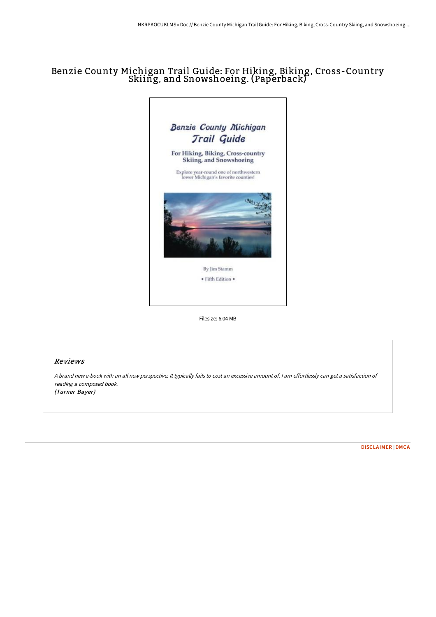## Benzie County Michigan Trail Guide: For Hiking, Biking, Cross-Country Skiing, and Snowshoeing. (Paperback)



Filesize: 6.04 MB

## Reviews

<sup>A</sup> brand new e-book with an all new perspective. It typically fails to cost an excessive amount of. <sup>I</sup> am effortlessly can get <sup>a</sup> satisfaction of reading <sup>a</sup> composed book. (Turner Bayer)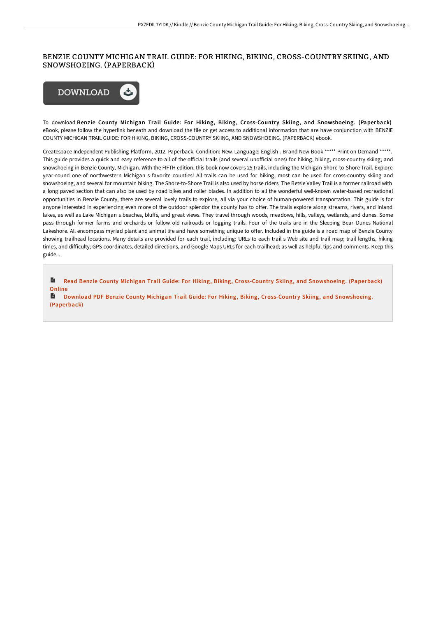## BENZIE COUNTY MICHIGAN TRAIL GUIDE: FOR HIKING, BIKING, CROSS-COUNTRY SKIING, AND SNOWSHOEING. (PAPERBACK)



To download Benzie County Michigan Trail Guide: For Hiking, Biking, Cross-Country Skiing, and Snowshoeing. (Paperback) eBook, please follow the hyperlink beneath and download the file or get access to additional information that are have conjunction with BENZIE COUNTY MICHIGAN TRAIL GUIDE: FOR HIKING, BIKING, CROSS-COUNTRY SKIING, AND SNOWSHOEING. (PAPERBACK) ebook.

Createspace Independent Publishing Platform, 2012. Paperback. Condition: New. Language: English . Brand New Book \*\*\*\*\* Print on Demand \*\*\*\*\*. This guide provides a quick and easy reference to all of the official trails (and several unofficial ones) for hiking, biking, cross-country skiing, and snowshoeing in Benzie County, Michigan. With the FIFTH edition, this book now covers 25 trails, including the Michigan Shore-to-Shore Trail. Explore year-round one of northwestern Michigan s favorite counties! All trails can be used for hiking, most can be used for cross-country skiing and snowshoeing, and several for mountain biking. The Shore-to-Shore Trail is also used by horse riders. The Betsie Valley Trail is a former railroad with a long paved section that can also be used by road bikes and roller blades. In addition to all the wonderful well-known water-based recreational opportunities in Benzie County, there are several lovely trails to explore, all via your choice of human-powered transportation. This guide is for anyone interested in experiencing even more of the outdoor splendor the county has to offer. The trails explore along streams, rivers, and inland lakes, as well as Lake Michigan s beaches, bluffs, and great views. They travel through woods, meadows, hills, valleys, wetlands, and dunes. Some pass through former farms and orchards or follow old railroads or logging trails. Four of the trails are in the Sleeping Bear Dunes National Lakeshore. All encompass myriad plant and animal life and have something unique to offer. Included in the guide is a road map of Benzie County showing trailhead locations. Many details are provided for each trail, including: URLs to each trail s Web site and trail map; trail lengths, hiking times, and difficulty; GPS coordinates, detailed directions, and Google Maps URLs for each trailhead; as well as helpful tips and comments. Keep this guide...

 $\blacksquare$ Read Benzie County Michigan Trail Guide: For Hiking, Biking, Cross-Country Skiing, and [Snowshoeing.](http://techno-pub.tech/benzie-county-michigan-trail-guide-for-hiking-bi.html) (Paperback) Online

Download PDF Benzie County Michigan Trail Guide: For Hiking, Biking, Cross-Country Skiing, and [Snowshoeing.](http://techno-pub.tech/benzie-county-michigan-trail-guide-for-hiking-bi.html) (Paperback)